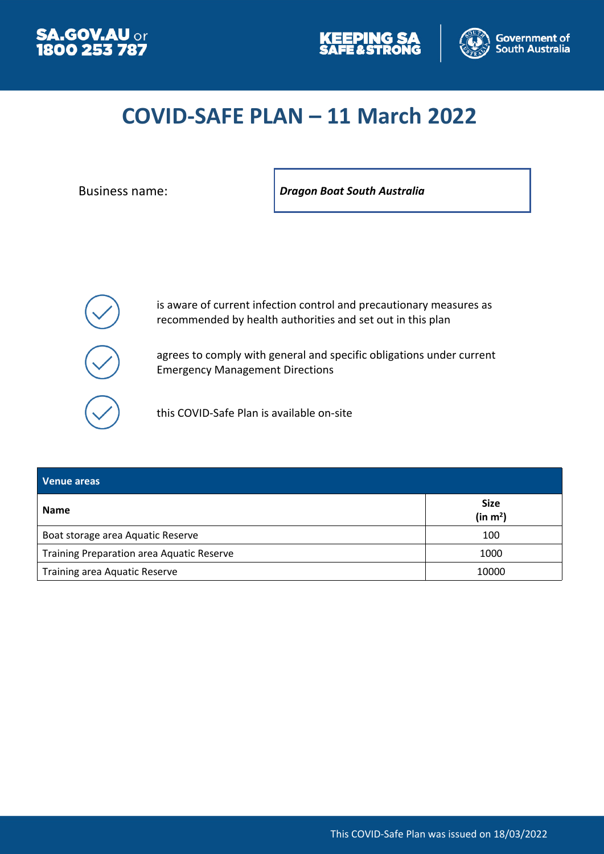





# **COVID-SAFE PLAN – 11 March 2022**

Business name: *Dragon Boat South Australia*



is aware of current infection control and precautionary measures as recommended by health authorities and set out in this plan

agrees to comply with general and specific obligations under current Emergency Management Directions

this COVID-Safe Plan is available on-site

| Venue areas                                      |                                     |
|--------------------------------------------------|-------------------------------------|
| <b>Name</b>                                      | <b>Size</b><br>(in m <sup>2</sup> ) |
| Boat storage area Aquatic Reserve                | 100                                 |
| <b>Training Preparation area Aquatic Reserve</b> | 1000                                |
| <b>Training area Aquatic Reserve</b>             | 10000                               |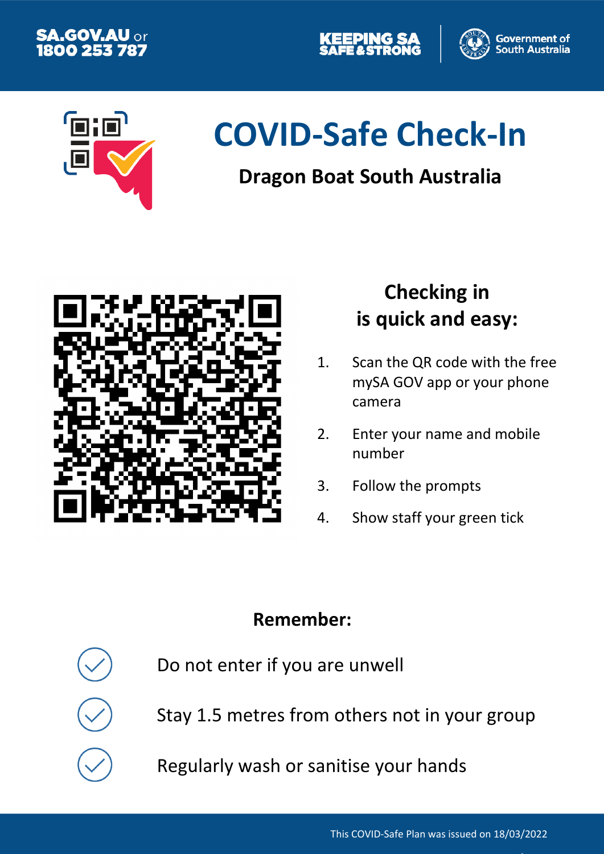





# **COVID-Safe Check-In**

# **Dragon Boat South Australia**



# **Checking in is quick and easy:**

- 1. Scan the QR code with the free mySA GOV app or your phone camera
- 2. Enter your name and mobile number
- 3. Follow the prompts
- 4. Show staff your green tick

### **Remember:**

Do not enter if you are unwell

Stay 1.5 metres from others not in your group

Regularly wash or sanitise your hands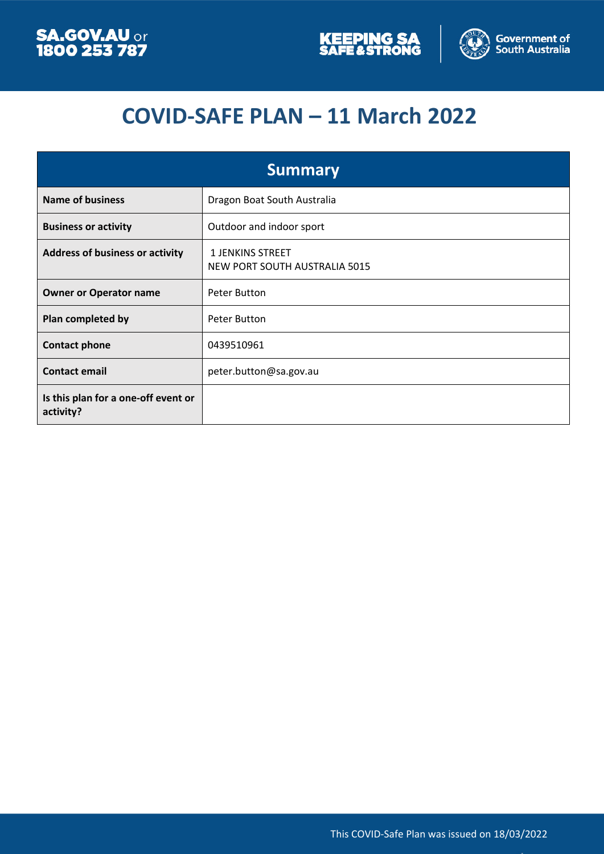



# **COVID-SAFE PLAN – 11 March 2022**

| <b>Summary</b>                                   |                                                          |  |
|--------------------------------------------------|----------------------------------------------------------|--|
| <b>Name of business</b>                          | Dragon Boat South Australia                              |  |
| <b>Business or activity</b>                      | Outdoor and indoor sport                                 |  |
| <b>Address of business or activity</b>           | <b>1 JENKINS STREET</b><br>NEW PORT SOUTH AUSTRALIA 5015 |  |
| <b>Owner or Operator name</b>                    | Peter Button                                             |  |
| Plan completed by                                | Peter Button                                             |  |
| <b>Contact phone</b>                             | 0439510961                                               |  |
| <b>Contact email</b>                             | peter.button@sa.gov.au                                   |  |
| Is this plan for a one-off event or<br>activity? |                                                          |  |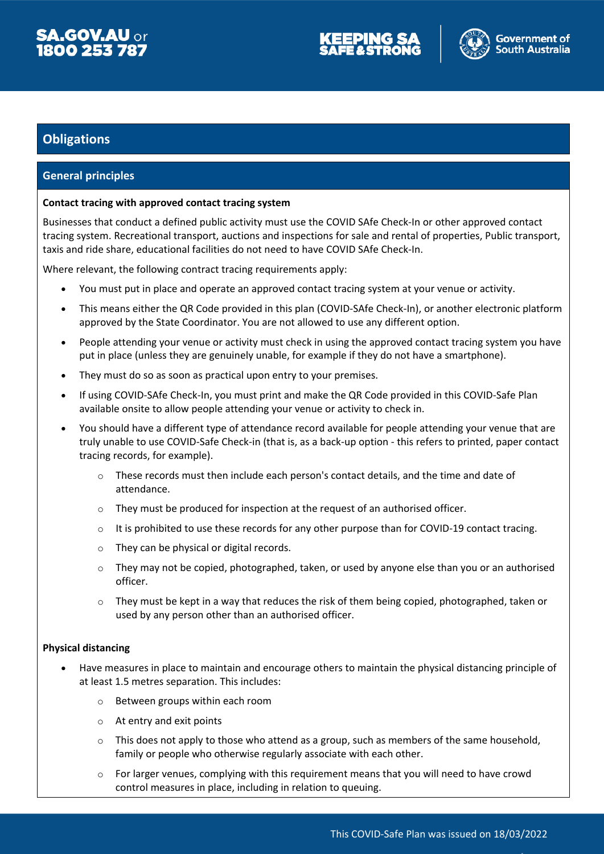

#### **Obligations**

#### **General principles**

#### **Contact tracing with approved contact tracing system**

Businesses that conduct a defined public activity must use the COVID SAfe Check-In or other approved contact tracing system. Recreational transport, auctions and inspections for sale and rental of properties, Public transport, taxis and ride share, educational facilities do not need to have COVID SAfe Check-In.

Where relevant, the following contract tracing requirements apply:

- You must put in place and operate an approved contact tracing system at your venue or activity.
- This means either the QR Code provided in this plan (COVID-SAfe Check-In), or another electronic platform approved by the State Coordinator. You are not allowed to use any different option.
- People attending your venue or activity must check in using the approved contact tracing system you have put in place (unless they are genuinely unable, for example if they do not have a smartphone).
- They must do so as soon as practical upon entry to your premises.
- If using COVID-SAfe Check-In, you must print and make the QR Code provided in this COVID-Safe Plan available onsite to allow people attending your venue or activity to check in.
- You should have a different type of attendance record available for people attending your venue that are truly unable to use COVID-Safe Check-in (that is, as a back-up option - this refers to printed, paper contact tracing records, for example).
	- $\circ$  These records must then include each person's contact details, and the time and date of attendance.
	- $\circ$  They must be produced for inspection at the request of an authorised officer.
	- $\circ$  It is prohibited to use these records for any other purpose than for COVID-19 contact tracing.
	- o They can be physical or digital records.
	- $\circ$  They may not be copied, photographed, taken, or used by anyone else than you or an authorised officer.
	- $\circ$  They must be kept in a way that reduces the risk of them being copied, photographed, taken or used by any person other than an authorised officer.

#### **Physical distancing**

- Have measures in place to maintain and encourage others to maintain the physical distancing principle of at least 1.5 metres separation. This includes:
	- o Between groups within each room
	- o At entry and exit points
	- $\circ$  This does not apply to those who attend as a group, such as members of the same household, family or people who otherwise regularly associate with each other.
	- $\circ$  For larger venues, complying with this requirement means that you will need to have crowd control measures in place, including in relation to queuing.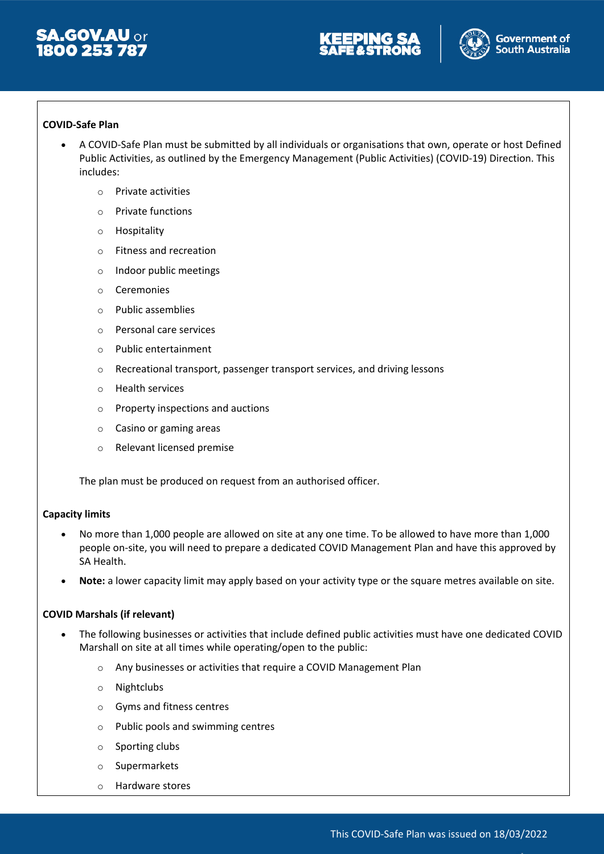





#### **COVID-Safe Plan**

- A COVID-Safe Plan must be submitted by all individuals or organisations that own, operate or host Defined Public Activities, as outlined by the Emergency Management (Public Activities) (COVID-19) Direction. This includes:
	- o Private activities
	- o Private functions
	- o Hospitality
	- o Fitness and recreation
	- o Indoor public meetings
	- o Ceremonies
	- o Public assemblies
	- o Personal care services
	- o Public entertainment
	- o Recreational transport, passenger transport services, and driving lessons
	- o Health services
	- o Property inspections and auctions
	- o Casino or gaming areas
	- o Relevant licensed premise

The plan must be produced on request from an authorised officer.

#### **Capacity limits**

- No more than 1,000 people are allowed on site at any one time. To be allowed to have more than 1,000 people on-site, you will need to prepare a dedicated COVID Management Plan and have this approved by SA Health.
- **Note:** a lower capacity limit may apply based on your activity type or the square metres available on site.

#### **COVID Marshals (if relevant)**

- The following businesses or activities that include defined public activities must have one dedicated COVID Marshall on site at all times while operating/open to the public:
	- o Any businesses or activities that require a COVID Management Plan
	- o Nightclubs
	- o Gyms and fitness centres
	- o Public pools and swimming centres
	- o Sporting clubs
	- o Supermarkets
	- o Hardware stores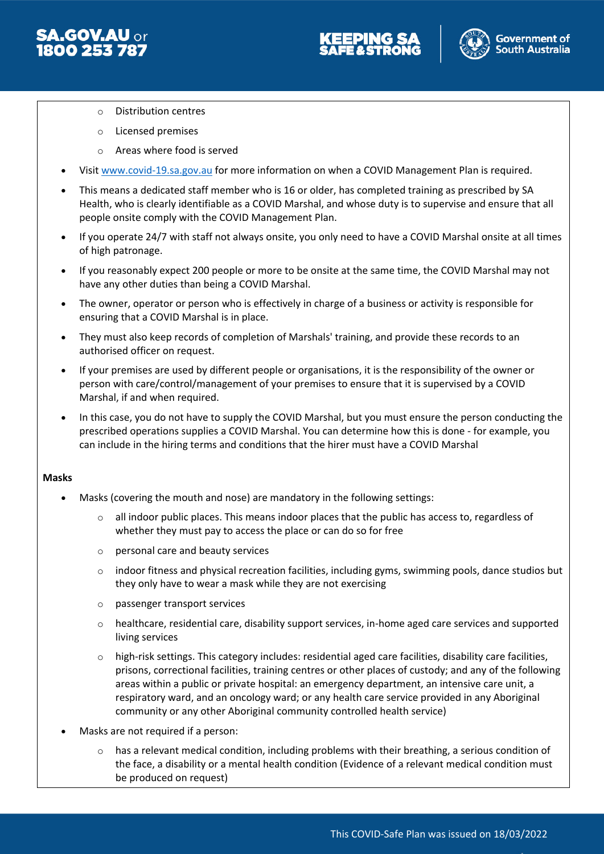





- o Distribution centres
- o Licensed premises
- o Areas where food is served
- Visit [www.covid-19.sa.gov.au](http://www.covid-19.sa.gov.au/) for more information on when a COVID Management Plan is required.
- This means a dedicated staff member who is 16 or older, has completed training as prescribed by SA Health, who is clearly identifiable as a COVID Marshal, and whose duty is to supervise and ensure that all people onsite comply with the COVID Management Plan.
- If you operate 24/7 with staff not always onsite, you only need to have a COVID Marshal onsite at all times of high patronage.
- If you reasonably expect 200 people or more to be onsite at the same time, the COVID Marshal may not have any other duties than being a COVID Marshal.
- The owner, operator or person who is effectively in charge of a business or activity is responsible for ensuring that a COVID Marshal is in place.
- They must also keep records of completion of Marshals' training, and provide these records to an authorised officer on request.
- If your premises are used by different people or organisations, it is the responsibility of the owner or person with care/control/management of your premises to ensure that it is supervised by a COVID Marshal, if and when required.
- In this case, you do not have to supply the COVID Marshal, but you must ensure the person conducting the prescribed operations supplies a COVID Marshal. You can determine how this is done - for example, you can include in the hiring terms and conditions that the hirer must have a COVID Marshal

#### **Masks**

- Masks (covering the mouth and nose) are mandatory in the following settings:
	- $\circ$  all indoor public places. This means indoor places that the public has access to, regardless of whether they must pay to access the place or can do so for free
	- o personal care and beauty services
	- o indoor fitness and physical recreation facilities, including gyms, swimming pools, dance studios but they only have to wear a mask while they are not exercising
	- o passenger transport services
	- o healthcare, residential care, disability support services, in-home aged care services and supported living services
	- $\circ$  high-risk settings. This category includes: residential aged care facilities, disability care facilities, prisons, correctional facilities, training centres or other places of custody; and any of the following areas within a public or private hospital: an emergency department, an intensive care unit, a respiratory ward, and an oncology ward; or any health care service provided in any Aboriginal community or any other Aboriginal community controlled health service)
- Masks are not required if a person:
	- $\circ$  has a relevant medical condition, including problems with their breathing, a serious condition of the face, a disability or a mental health condition (Evidence of a relevant medical condition must be produced on request)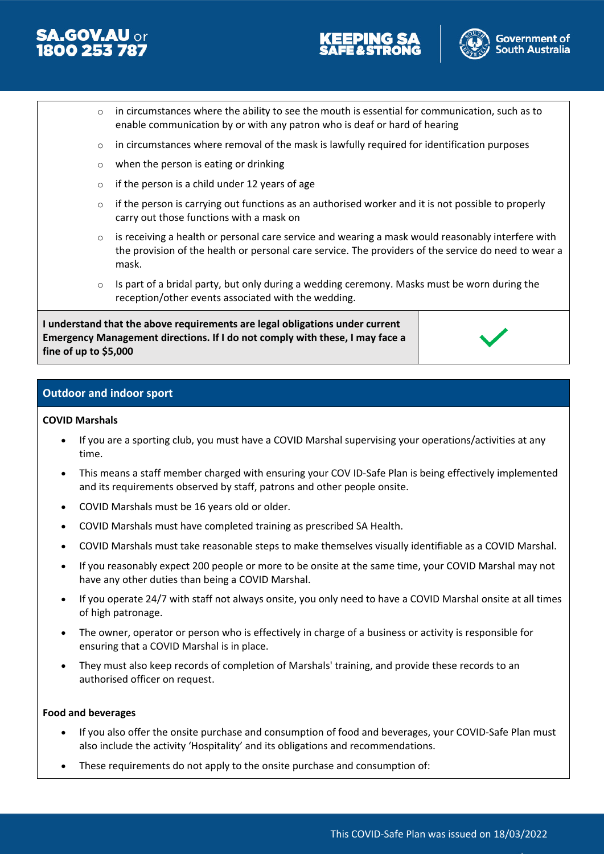





- $\circ$  in circumstances where the ability to see the mouth is essential for communication, such as to enable communication by or with any patron who is deaf or hard of hearing
- o in circumstances where removal of the mask is lawfully required for identification purposes
- o when the person is eating or drinking
- $\circ$  if the person is a child under 12 years of age
- $\circ$  if the person is carrying out functions as an authorised worker and it is not possible to properly carry out those functions with a mask on
- $\circ$  is receiving a health or personal care service and wearing a mask would reasonably interfere with the provision of the health or personal care service. The providers of the service do need to wear a mask.
- $\circ$  Is part of a bridal party, but only during a wedding ceremony. Masks must be worn during the reception/other events associated with the wedding.

**I understand that the above requirements are legal obligations under current Emergency Management directions. If I do not comply with these, I may face a fine of up to \$5,000**



#### **Outdoor and indoor sport**

#### **COVID Marshals**

- If you are a sporting club, you must have a COVID Marshal supervising your operations/activities at any time.
- This means a staff member charged with ensuring your COV ID-Safe Plan is being effectively implemented and its requirements observed by staff, patrons and other people onsite.
- COVID Marshals must be 16 years old or older.
- COVID Marshals must have completed training as prescribed SA Health.
- COVID Marshals must take reasonable steps to make themselves visually identifiable as a COVID Marshal.
- If you reasonably expect 200 people or more to be onsite at the same time, your COVID Marshal may not have any other duties than being a COVID Marshal.
- If you operate 24/7 with staff not always onsite, you only need to have a COVID Marshal onsite at all times of high patronage.
- The owner, operator or person who is effectively in charge of a business or activity is responsible for ensuring that a COVID Marshal is in place.
- They must also keep records of completion of Marshals' training, and provide these records to an authorised officer on request.

#### **Food and beverages**

- If you also offer the onsite purchase and consumption of food and beverages, your COVID-Safe Plan must also include the activity 'Hospitality' and its obligations and recommendations.
- These requirements do not apply to the onsite purchase and consumption of: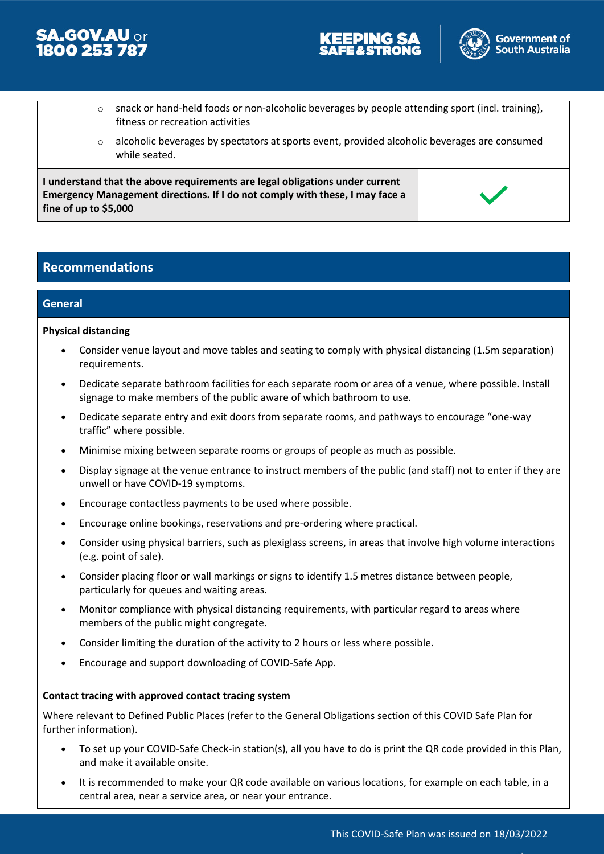





- $\circ$  snack or hand-held foods or non-alcoholic beverages by people attending sport (incl. training), fitness or recreation activities
- $\circ$  alcoholic beverages by spectators at sports event, provided alcoholic beverages are consumed while seated.

**I understand that the above requirements are legal obligations under current Emergency Management directions. If I do not comply with these, I may face a fine of up to \$5,000**

#### **Recommendations**

#### **General**

#### **Physical distancing**

- Consider venue layout and move tables and seating to comply with physical distancing (1.5m separation) requirements.
- Dedicate separate bathroom facilities for each separate room or area of a venue, where possible. Install signage to make members of the public aware of which bathroom to use.
- Dedicate separate entry and exit doors from separate rooms, and pathways to encourage "one-way traffic" where possible.
- Minimise mixing between separate rooms or groups of people as much as possible.
- Display signage at the venue entrance to instruct members of the public (and staff) not to enter if they are unwell or have COVID-19 symptoms.
- Encourage contactless payments to be used where possible.
- Encourage online bookings, reservations and pre-ordering where practical.
- Consider using physical barriers, such as plexiglass screens, in areas that involve high volume interactions (e.g. point of sale).
- Consider placing floor or wall markings or signs to identify 1.5 metres distance between people, particularly for queues and waiting areas.
- Monitor compliance with physical distancing requirements, with particular regard to areas where members of the public might congregate.
- Consider limiting the duration of the activity to 2 hours or less where possible.
- Encourage and support downloading of COVID-Safe App.

#### **Contact tracing with approved contact tracing system**

Where relevant to Defined Public Places (refer to the General Obligations section of this COVID Safe Plan for further information).

- To set up your COVID-Safe Check-in station(s), all you have to do is print the QR code provided in this Plan, and make it available onsite.
- It is recommended to make your QR code available on various locations, for example on each table, in a central area, near a service area, or near your entrance.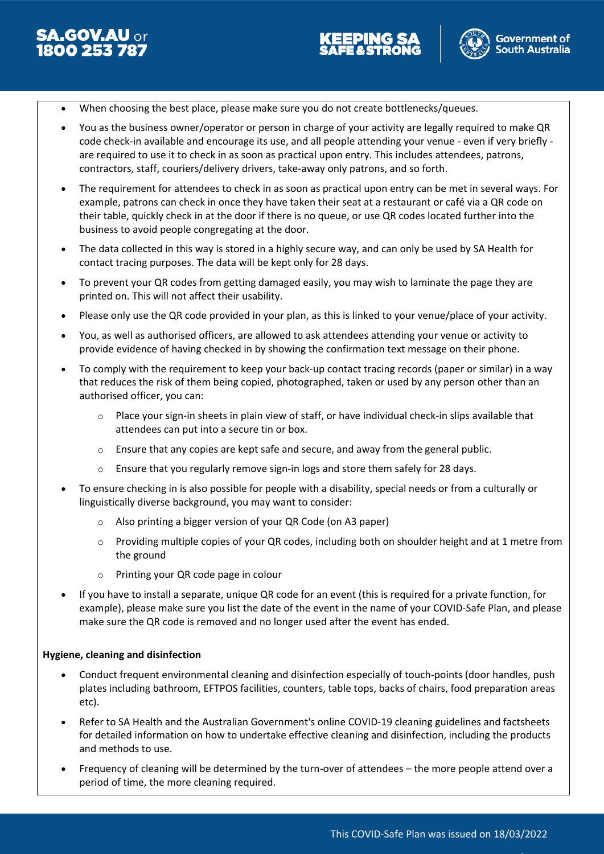



- When choosing the best place, please make sure you do not create bottlenecks/queues.
- You as the business owner/operator or person in charge of your activity are legally required to make QR code check-in available and encourage its use, and all people attending your venue - even if very briefly are required to use it to check in as soon as practical upon entry. This includes attendees, patrons, contractors, staff, couriers/delivery drivers, take-away only patrons, and so forth.
- The requirement for attendees to check in as soon as practical upon entry can be met in several ways. For example, patrons can check in once they have taken their seat at a restaurant or café via a QR code on their table, quickly check in at the door if there is no queue, or use QR codes located further into the business to avoid people congregating at the door.
- The data collected in this way is stored in a highly secure way, and can only be used by SA Health for contact tracing purposes. The data will be kept only for 28 days.
- To prevent your QR codes from getting damaged easily, you may wish to laminate the page they are printed on. This will not affect their usability.
- Please only use the QR code provided in your plan, as this is linked to your venue/place of your activity.
- You, as well as authorised officers, are allowed to ask attendees attending your venue or activity to provide evidence of having checked in by showing the confirmation text message on their phone.
- To comply with the requirement to keep your back-up contact tracing records (paper or similar) in a way that reduces the risk of them being copied, photographed, taken or used by any person other than an authorised officer, you can:
	- o Place your sign-in sheets in plain view of staff, or have individual check-in slips available that attendees can put into a secure tin or box.
	- o Ensure that any copies are kept safe and secure, and away from the general public.
	- $\circ$  Ensure that you regularly remove sign-in logs and store them safely for 28 days.
- To ensure checking in is also possible for people with a disability, special needs or from a culturally or linguistically diverse background, you may want to consider:
	- o Also printing a bigger version of your QR Code (on A3 paper)
	- $\circ$  Providing multiple copies of your QR codes, including both on shoulder height and at 1 metre from the ground
	- o Printing your QR code page in colour
- If you have to install a separate, unique QR code for an event (this is required for a private function, for example), please make sure you list the date of the event in the name of your COVID-Safe Plan, and please make sure the QR code is removed and no longer used after the event has ended.

#### **Hygiene, cleaning and disinfection**

- Conduct frequent environmental cleaning and disinfection especially of touch-points (door handles, push plates including bathroom, EFTPOS facilities, counters, table tops, backs of chairs, food preparation areas etc).
- Refer to SA Health and the Australian Government's online COVID-19 cleaning guidelines and factsheets for detailed information on how to undertake effective cleaning and disinfection, including the products and methods to use.
- Frequency of cleaning will be determined by the turn-over of attendees the more people attend over a period of time, the more cleaning required.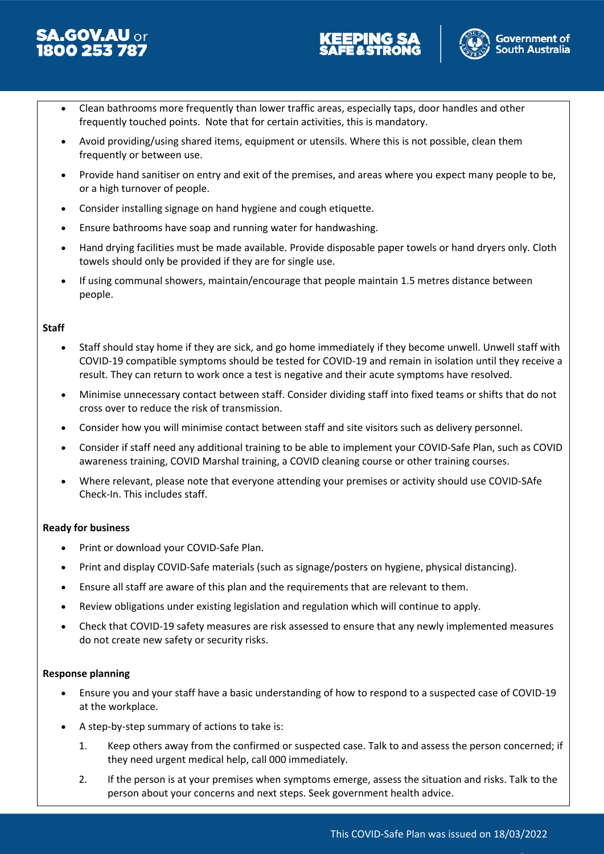





- Clean bathrooms more frequently than lower traffic areas, especially taps, door handles and other frequently touched points. Note that for certain activities, this is mandatory.
- Avoid providing/using shared items, equipment or utensils. Where this is not possible, clean them frequently or between use.
- Provide hand sanitiser on entry and exit of the premises, and areas where you expect many people to be, or a high turnover of people.
- Consider installing signage on hand hygiene and cough etiquette.
- Ensure bathrooms have soap and running water for handwashing.
- Hand drying facilities must be made available. Provide disposable paper towels or hand dryers only. Cloth towels should only be provided if they are for single use.
- If using communal showers, maintain/encourage that people maintain 1.5 metres distance between people.

#### **Staff**

- Staff should stay home if they are sick, and go home immediately if they become unwell. Unwell staff with COVID-19 compatible symptoms should be tested for COVID-19 and remain in isolation until they receive a result. They can return to work once a test is negative and their acute symptoms have resolved.
- Minimise unnecessary contact between staff. Consider dividing staff into fixed teams or shifts that do not cross over to reduce the risk of transmission.
- Consider how you will minimise contact between staff and site visitors such as delivery personnel.
- Consider if staff need any additional training to be able to implement your COVID-Safe Plan, such as COVID awareness training, COVID Marshal training, a COVID cleaning course or other training courses.
- Where relevant, please note that everyone attending your premises or activity should use COVID-SAfe Check-In. This includes staff.

#### **Ready for business**

- Print or download your COVID-Safe Plan.
- Print and display COVID-Safe materials (such as signage/posters on hygiene, physical distancing).
- Ensure all staff are aware of this plan and the requirements that are relevant to them.
- Review obligations under existing legislation and regulation which will continue to apply.
- Check that COVID-19 safety measures are risk assessed to ensure that any newly implemented measures do not create new safety or security risks.

#### **Response planning**

- Ensure you and your staff have a basic understanding of how to respond to a suspected case of COVID-19 at the workplace.
- A step-by-step summary of actions to take is:
	- 1. Keep others away from the confirmed or suspected case. Talk to and assess the person concerned; if they need urgent medical help, call 000 immediately.
	- 2. If the person is at your premises when symptoms emerge, assess the situation and risks. Talk to the person about your concerns and next steps. Seek government health advice.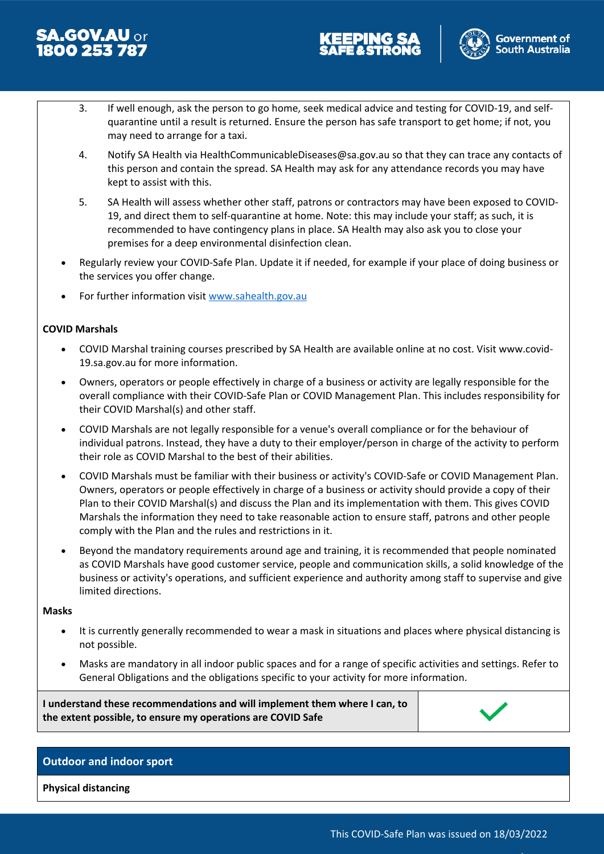





- 3. If well enough, ask the person to go home, seek medical advice and testing for COVID-19, and selfquarantine until a result is returned. Ensure the person has safe transport to get home; if not, you may need to arrange for a taxi.
- 4. Notify SA Health via HealthCommunicableDiseases@sa.gov.au so that they can trace any contacts of this person and contain the spread. SA Health may ask for any attendance records you may have kept to assist with this.
- 5. SA Health will assess whether other staff, patrons or contractors may have been exposed to COVID-19, and direct them to self-quarantine at home. Note: this may include your staff; as such, it is recommended to have contingency plans in place. SA Health may also ask you to close your premises for a deep environmental disinfection clean.
- Regularly review your COVID-Safe Plan. Update it if needed, for example if your place of doing business or the services you offer change.
- For further information visit [www.sahealth.gov.au](http://www.sahealth.gov.au/)

#### **COVID Marshals**

- COVID Marshal training courses prescribed by SA Health are available online at no cost. Visit www.covid-19.sa.gov.au for more information.
- Owners, operators or people effectively in charge of a business or activity are legally responsible for the overall compliance with their COVID-Safe Plan or COVID Management Plan. This includes responsibility for their COVID Marshal(s) and other staff.
- COVID Marshals are not legally responsible for a venue's overall compliance or for the behaviour of individual patrons. Instead, they have a duty to their employer/person in charge of the activity to perform their role as COVID Marshal to the best of their abilities.
- COVID Marshals must be familiar with their business or activity's COVID-Safe or COVID Management Plan. Owners, operators or people effectively in charge of a business or activity should provide a copy of their Plan to their COVID Marshal(s) and discuss the Plan and its implementation with them. This gives COVID Marshals the information they need to take reasonable action to ensure staff, patrons and other people comply with the Plan and the rules and restrictions in it.
- Beyond the mandatory requirements around age and training, it is recommended that people nominated as COVID Marshals have good customer service, people and communication skills, a solid knowledge of the business or activity's operations, and sufficient experience and authority among staff to supervise and give limited directions.

#### **Masks**

- It is currently generally recommended to wear a mask in situations and places where physical distancing is not possible.
- Masks are mandatory in all indoor public spaces and for a range of specific activities and settings. Refer to General Obligations and the obligations specific to your activity for more information.

**I understand these recommendations and will implement them where I can, to the extent possible, to ensure my operations are COVID Safe**



#### **Outdoor and indoor sport**

**Physical distancing**